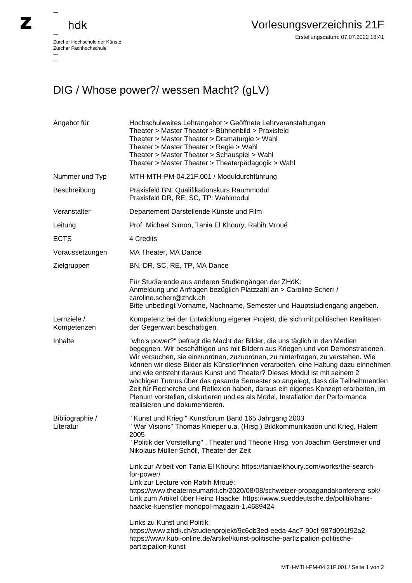## hdk

 $\overline{\phantom{0}}$ 

 $\overline{\phantom{a}}$ 

Zürcher Hochschule der Künste Zürcher Fachhochschule —

Erstellungsdatum: 07.07.2022 18:41

## DIG / Whose power?/ wessen Macht? (gLV)

| Angebot für                  | Hochschulweites Lehrangebot > Geöffnete Lehrveranstaltungen<br>Theater > Master Theater > Bühnenbild > Praxisfeld<br>Theater > Master Theater > Dramaturgie > Wahl<br>Theater > Master Theater > Regie > Wahl<br>Theater > Master Theater > Schauspiel > Wahl<br>Theater > Master Theater > Theaterpädagogik > Wahl                                                                                                                                                                                                                                                                                                                                                                                         |
|------------------------------|-------------------------------------------------------------------------------------------------------------------------------------------------------------------------------------------------------------------------------------------------------------------------------------------------------------------------------------------------------------------------------------------------------------------------------------------------------------------------------------------------------------------------------------------------------------------------------------------------------------------------------------------------------------------------------------------------------------|
| Nummer und Typ               | MTH-MTH-PM-04.21F.001 / Moduldurchführung                                                                                                                                                                                                                                                                                                                                                                                                                                                                                                                                                                                                                                                                   |
| Beschreibung                 | Praxisfeld BN: Qualifikationskurs Raummodul<br>Praxisfeld DR, RE, SC, TP: Wahlmodul                                                                                                                                                                                                                                                                                                                                                                                                                                                                                                                                                                                                                         |
| Veranstalter                 | Departement Darstellende Künste und Film                                                                                                                                                                                                                                                                                                                                                                                                                                                                                                                                                                                                                                                                    |
| Leitung                      | Prof. Michael Simon, Tania El Khoury, Rabih Mroué                                                                                                                                                                                                                                                                                                                                                                                                                                                                                                                                                                                                                                                           |
| <b>ECTS</b>                  | 4 Credits                                                                                                                                                                                                                                                                                                                                                                                                                                                                                                                                                                                                                                                                                                   |
| Voraussetzungen              | MA Theater, MA Dance                                                                                                                                                                                                                                                                                                                                                                                                                                                                                                                                                                                                                                                                                        |
| Zielgruppen                  | BN, DR, SC, RE, TP, MA Dance                                                                                                                                                                                                                                                                                                                                                                                                                                                                                                                                                                                                                                                                                |
|                              | Für Studierende aus anderen Studiengängen der ZHdK:<br>Anmeldung und Anfragen bezüglich Platzzahl an > Caroline Scherr /<br>caroline.scherr@zhdk.ch<br>Bitte unbedingt Vorname, Nachname, Semester und Hauptstudiengang angeben.                                                                                                                                                                                                                                                                                                                                                                                                                                                                            |
| Lernziele /<br>Kompetenzen   | Kompetenz bei der Entwicklung eigener Projekt, die sich mit politischen Realitäten<br>der Gegenwart beschäftigen.                                                                                                                                                                                                                                                                                                                                                                                                                                                                                                                                                                                           |
| Inhalte                      | "who's power?" befragt die Macht der Bilder, die uns täglich in den Medien<br>begegnen. Wir beschäftigen uns mit Bildern aus Kriegen und von Demonstrationen.<br>Wir versuchen, sie einzuordnen, zuzuordnen, zu hinterfragen, zu verstehen. Wie<br>können wir diese Bilder als Künstler*innen verarbeiten, eine Haltung dazu einnehmen<br>und wie entsteht daraus Kunst und Theater? Dieses Modul ist mit seinem 2<br>wöchigen Turnus über das gesamte Semester so angelegt, dass die Teilnehmenden<br>Zeit für Recherche und Reflexion haben, daraus ein eigenes Konzept erarbeiten, im<br>Plenum vorstellen, diskutieren und es als Model, Installation der Performance<br>realisieren und dokumentieren. |
| Bibliographie /<br>Literatur | " Kunst und Krieg " Kunstforum Band 165 Jahrgang 2003<br>" War Visions" Thomas Knieper u.a. (Hrsg.) Bildkommunikation und Krieg, Halem<br>2005<br>" Politik der Vorstellung", Theater und Theorie Hrsg. von Joachim Gerstmeier und<br>Nikolaus Müller-Schöll, Theater der Zeit                                                                                                                                                                                                                                                                                                                                                                                                                              |
|                              | Link zur Arbeit von Tania El Khoury: https://taniaelkhoury.com/works/the-search-<br>for-power/<br>Link zur Lecture von Rabih Mroué:<br>https://www.theaterneumarkt.ch/2020/08/08/schweizer-propagandakonferenz-spk/<br>Link zum Artikel über Heinz Haacke: https://www.sueddeutsche.de/politik/hans-<br>haacke-kuenstler-monopol-magazin-1.4689424<br>Links zu Kunst und Politik:<br>https://www.zhdk.ch/studienprojekt/9c6db3ed-eeda-4ac7-90cf-987d091f92a2<br>https://www.kubi-online.de/artikel/kunst-politische-partizipation-politische-<br>partizipation-kunst                                                                                                                                        |
|                              |                                                                                                                                                                                                                                                                                                                                                                                                                                                                                                                                                                                                                                                                                                             |